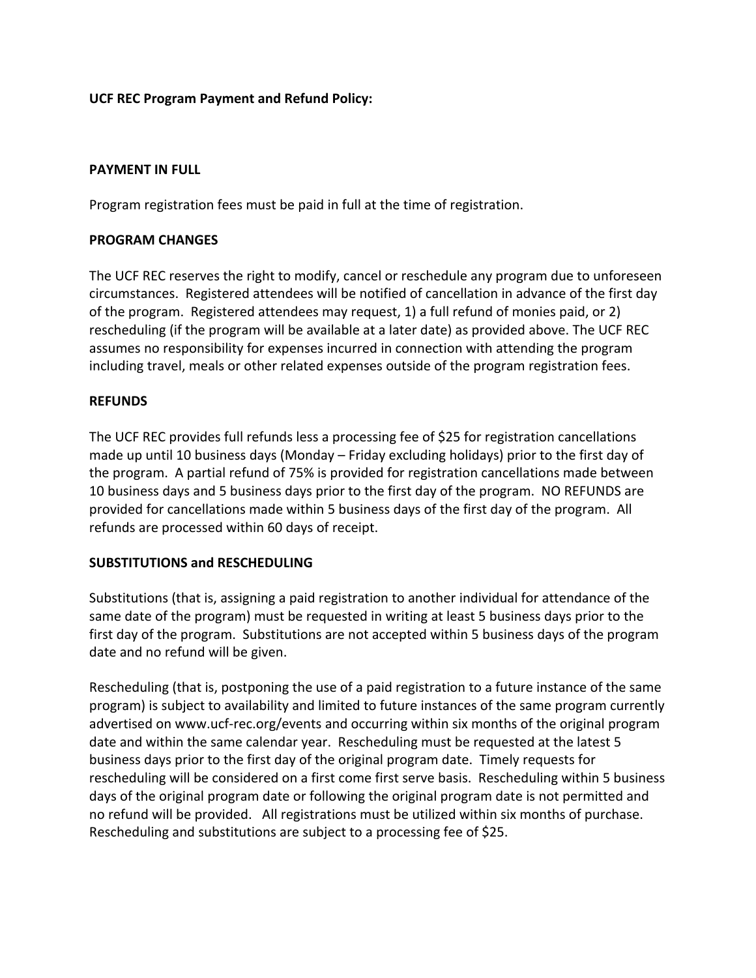# **UCF REC Program Payment and Refund Policy:**

#### **PAYMENT IN FULL**

Program registration fees must be paid in full at the time of registration.

### **PROGRAM CHANGES**

The UCF REC reserves the right to modify, cancel or reschedule any program due to unforeseen circumstances. Registered attendees will be notified of cancellation in advance of the first day of the program. Registered attendees may request, 1) a full refund of monies paid, or 2) rescheduling (if the program will be available at a later date) as provided above. The UCF REC assumes no responsibility for expenses incurred in connection with attending the program including travel, meals or other related expenses outside of the program registration fees.

### **REFUNDS**

The UCF REC provides full refunds less a processing fee of \$25 for registration cancellations made up until 10 business days (Monday – Friday excluding holidays) prior to the first day of the program. A partial refund of 75% is provided for registration cancellations made between 10 business days and 5 business days prior to the first day of the program. NO REFUNDS are provided for cancellations made within 5 business days of the first day of the program. All refunds are processed within 60 days of receipt.

### **SUBSTITUTIONS and RESCHEDULING**

Substitutions (that is, assigning a paid registration to another individual for attendance of the same date of the program) must be requested in writing at least 5 business days prior to the first day of the program. Substitutions are not accepted within 5 business days of the program date and no refund will be given.

Rescheduling (that is, postponing the use of a paid registration to a future instance of the same program) is subject to availability and limited to future instances of the same program currently advertised on www.ucf-rec.org/events and occurring within six months of the original program date and within the same calendar year. Rescheduling must be requested at the latest 5 business days prior to the first day of the original program date. Timely requests for rescheduling will be considered on a first come first serve basis. Rescheduling within 5 business days of the original program date or following the original program date is not permitted and no refund will be provided. All registrations must be utilized within six months of purchase. Rescheduling and substitutions are subject to a processing fee of \$25.